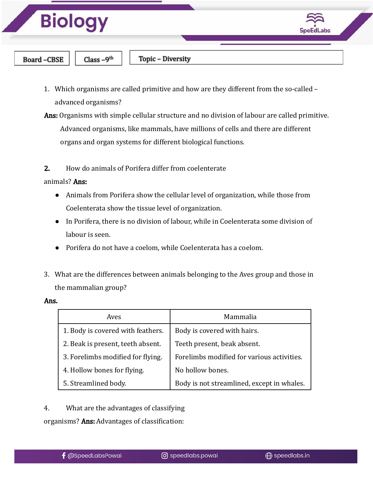

- 1. Which organisms are called primitive and how are they different from the so-called advanced organisms?
- Ans: Organisms with simple cellular structure and no division of labour are called primitive. Advanced organisms, like mammals, have millions of cells and there are different organs and organ systems for different biological functions.
- 2. How do animals of Porifera differ from coelenterate

#### animals? Ans:

- Animals from Porifera show the cellular level of organization, while those from Coelenterata show the tissue level of organization.
- In Porifera, there is no division of labour, while in Coelenterata some division of labour is seen.
- Porifera do not have a coelom, while Coelenterata has a coelom.
- 3. What are the differences between animals belonging to the Aves group and those in the mammalian group?

#### Ans.

| Aves                              | Mammalia                                   |
|-----------------------------------|--------------------------------------------|
| 1. Body is covered with feathers. | Body is covered with hairs.                |
| 2. Beak is present, teeth absent. | Teeth present, beak absent.                |
| 3. Forelimbs modified for flying. | Forelimbs modified for various activities. |
| 4. Hollow bones for flying.       | No hollow bones.                           |
| 5. Streamlined body.              | Body is not streamlined, except in whales. |

4. What are the advantages of classifying

organisms? Ans: Advantages of classification: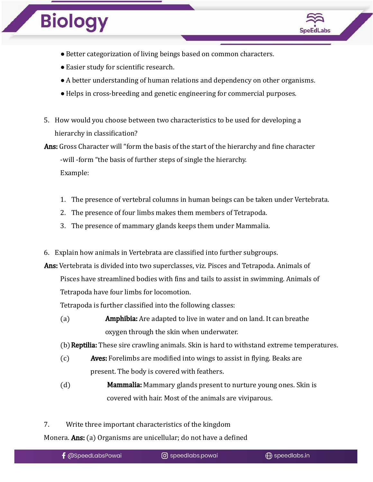

- ●Better categorization of living beings based on common characters.
- ●Easier study for scientific research.
- ●A better understanding of human relations and dependency on other organisms.
- ●Helps in cross-breeding and genetic engineering for commercial purposes.
- 5. How would you choose between two characteristics to be used for developing a hierarchy in classification?

Ans: Gross Character will "form the basis of the start of the hierarchy and fine character -will -form "the basis of further steps of single the hierarchy. Example:

- 1. The presence of vertebral columns in human beings can be taken under Vertebrata.
- 2. The presence of four limbs makes them members of Tetrapoda.
- 3. The presence of mammary glands keeps them under Mammalia.
- 6. Explain how animals in Vertebrata are classified into further subgroups.

Ans: Vertebrata is divided into two superclasses, viz. Pisces and Tetrapoda. Animals of

Pisces have streamlined bodies with fins and tails to assist in swimming. Animals of Tetrapoda have four limbs for locomotion.

Tetrapoda is further classified into the following classes:

(a) Amphibia: Are adapted to live in water and on land. It can breathe oxygen through the skin when underwater.

(b) Reptilia: These sire crawling animals. Skin is hard to withstand extreme temperatures.

- (c) Aves: Forelimbs are modified into wings to assist in flying. Beaks are present. The body is covered with feathers.
- (d) Mammalia: Mammary glands present to nurture young ones. Skin is covered with hair. Most of the animals are viviparous.
- 7. Write three important characteristics of the kingdom

Monera. **Ans:** (a) Organisms are unicellular; do not have a defined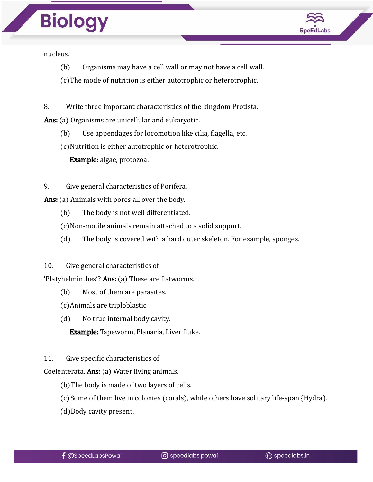

nucleus.

(b) Organisms may have a cell wall or may not have a cell wall.

(c)The mode of nutrition is either autotrophic or heterotrophic.

8. Write three important characteristics of the kingdom Protista.

Ans: (a) Organisms are unicellular and eukaryotic.

(b) Use appendages for locomotion like cilia, flagella, etc.

(c)Nutrition is either autotrophic or heterotrophic.

Example: algae, protozoa.

9. Give general characteristics of Porifera.

Ans: (a) Animals with pores all over the body.

- (b) The body is not well differentiated.
- (c)Non-motile animals remain attached to a solid support.
- (d) The body is covered with a hard outer skeleton. For example, sponges.
- 10. Give general characteristics of

'Platyhelminthes'? Ans: (a) These are flatworms.

- (b) Most of them are parasites.
- (c)Animals are triploblastic
- (d) No true internal body cavity.

Example: Tapeworm, Planaria, Liver fluke.

11. Give specific characteristics of

Coelenterata. Ans: (a) Water living animals.

- (b)The body is made of two layers of cells.
- (c)Some of them live in colonies (corals), while others have solitary life-span {Hydra}.
- (d)Body cavity present.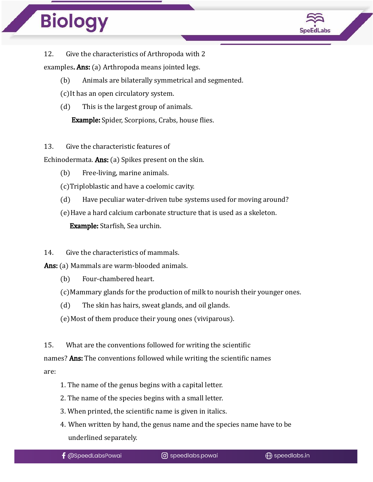

12. Give the characteristics of Arthropoda with 2

examples. **Ans:** (a) Arthropoda means jointed legs.

(b) Animals are bilaterally symmetrical and segmented.

- (c)It has an open circulatory system.
- (d) This is the largest group of animals.

Example: Spider, Scorpions, Crabs, house flies.

### 13. Give the characteristic features of

Echinodermata. Ans: (a) Spikes present on the skin.

(b) Free-living, marine animals.

(c)Triploblastic and have a coelomic cavity.

- (d) Have peculiar water-driven tube systems used for moving around?
- (e)Have a hard calcium carbonate structure that is used as a skeleton. Example: Starfish, Sea urchin.

### 14. Give the characteristics of mammals.

Ans: (a) Mammals are warm-blooded animals.

- (b) Four-chambered heart.
- (c)Mammary glands for the production of milk to nourish their younger ones.
- (d) The skin has hairs, sweat glands, and oil glands.
- (e)Most of them produce their young ones (viviparous).

15. What are the conventions followed for writing the scientific

names? **Ans:** The conventions followed while writing the scientific names are:

- 1. The name of the genus begins with a capital letter.
- 2. The name of the species begins with a small letter.
- 3. When printed, the scientific name is given in italics.
- 4. When written by hand, the genus name and the species name have to be underlined separately.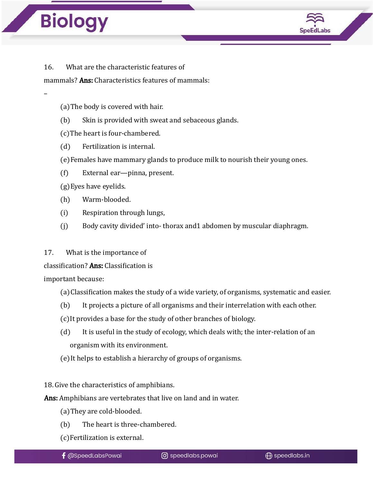–



16. What are the characteristic features of

mammals? **Ans:** Characteristics features of mammals:

- (a)The body is covered with hair.
- (b) Skin is provided with sweat and sebaceous glands.
- (c)The heart is four-chambered.
- (d) Fertilization is internal.
- (e)Females have mammary glands to produce milk to nourish their young ones.
- (f) External ear—pinna, present.
- (g)Eyes have eyelids.
- (h) Warm-blooded.
- (i) Respiration through lungs,
- (j) Body cavity divided' into- thorax and1 abdomen by muscular diaphragm.
- 17. What is the importance of

classification? Ans: Classification is

important because:

- (a)Classification makes the study of a wide variety, of organisms, systematic and easier.
- (b) It projects a picture of all organisms and their interrelation with each other.
- (c)It provides a base for the study of other branches of biology.
- (d) It is useful in the study of ecology, which deals with; the inter-relation of an organism with its environment.
- (e)It helps to establish a hierarchy of groups of organisms.

18. Give the characteristics of amphibians.

Ans: Amphibians are vertebrates that live on land and in water.

- (a)They are cold-blooded.
- (b) The heart is three-chambered.
- (c)Fertilization is external.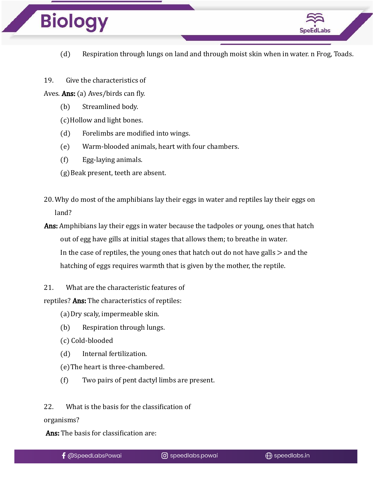

- (d) Respiration through lungs on land and through moist skin when in water. n Frog, Toads.
- 19. Give the characteristics of

Aves. Ans: (a) Aves/birds can fly.

(b) Streamlined body.

(c)Hollow and light bones.

- (d) Forelimbs are modified into wings.
- (e) Warm-blooded animals, heart with four chambers.
- (f) Egg-laying animals.
- (g)Beak present, teeth are absent.
- 20. Why do most of the amphibians lay their eggs in water and reptiles lay their eggs on land?

Ans: Amphibians lay their eggs in water because the tadpoles or young, ones that hatch out of egg have gills at initial stages that allows them; to breathe in water. In the case of reptiles, the young ones that hatch out do not have galls  $>$  and the hatching of eggs requires warmth that is given by the mother, the reptile.

21. What are the characteristic features of

reptiles? Ans: The characteristics of reptiles:

(a)Dry scaly, impermeable skin.

- (b) Respiration through lungs.
- (c) Cold-blooded
- (d) Internal fertilization.
- (e)The heart is three-chambered.
- (f) Two pairs of pent dactyl limbs are present.

22. What is the basis for the classification of

organisms?

Ans: The basis for classification are: